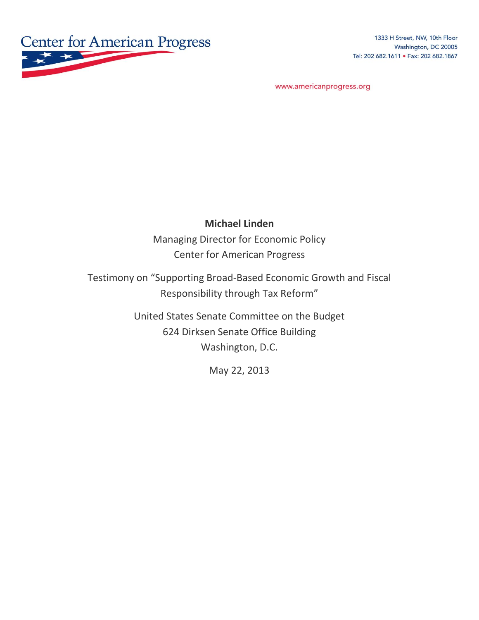

1333 H Street, NW, 10th Floor Washington, DC 20005 Tel: 202 682.1611 . Fax: 202 682.1867

www.americanprogress.org

#### **Michael Linden**

Managing Director for Economic Policy Center for American Progress

Testimony on "Supporting Broad-Based Economic Growth and Fiscal Responsibility through Tax Reform"

> United States Senate Committee on the Budget 624 Dirksen Senate Office Building Washington, D.C.

> > May 22, 2013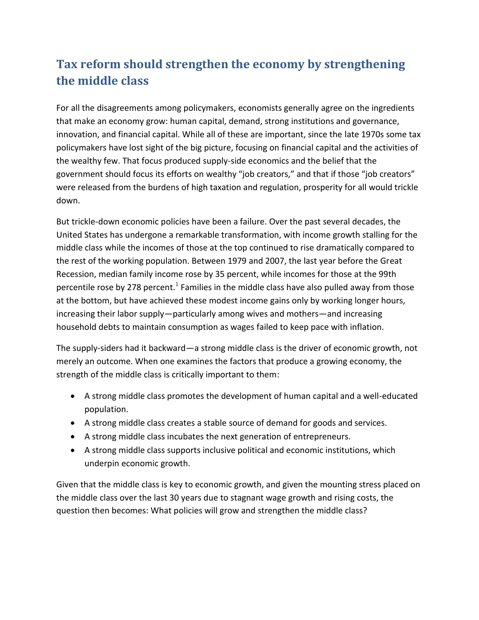# **Tax reform should strengthen the economy by strengthening the middle class**

For all the disagreements among policymakers, economists generally agree on the ingredients that make an economy grow: human capital, demand, strong institutions and governance, innovation, and financial capital. While all of these are important, since the late 1970s some tax policymakers have lost sight of the big picture, focusing on financial capital and the activities of the wealthy few. That focus produced supply-side economics and the belief that the government should focus its efforts on wealthy "job creators," and that if those "job creators" were released from the burdens of high taxation and regulation, prosperity for all would trickle down.

But trickle-down economic policies have been a failure. Over the past several decades, the United States has undergone a remarkable transformation, with income growth stalling for the middle class while the incomes of those at the top continued to rise dramatically compared to the rest of the working population. Between 1979 and 2007, the last year before the Great Recession, median family income rose by 35 percent, while incomes for those at the 99th percentile rose by 278 percent.<sup>1</sup> Families in the middle class have also pulled away from those at the bottom, but have achieved these modest income gains only by working longer hours, increasing their labor supply—particularly among wives and mothers—and increasing household debts to maintain consumption as wages failed to keep pace with inflation.

The supply-siders had it backward—a strong middle class is the driver of economic growth, not merely an outcome. When one examines the factors that produce a growing economy, the strength of the middle class is critically important to them:

- A strong middle class promotes the development of human capital and a well-educated population.
- A strong middle class creates a stable source of demand for goods and services.
- A strong middle class incubates the next generation of entrepreneurs.
- A strong middle class supports inclusive political and economic institutions, which underpin economic growth.

Given that the middle class is key to economic growth, and given the mounting stress placed on the middle class over the last 30 years due to stagnant wage growth and rising costs, the question then becomes: What policies will grow and strengthen the middle class?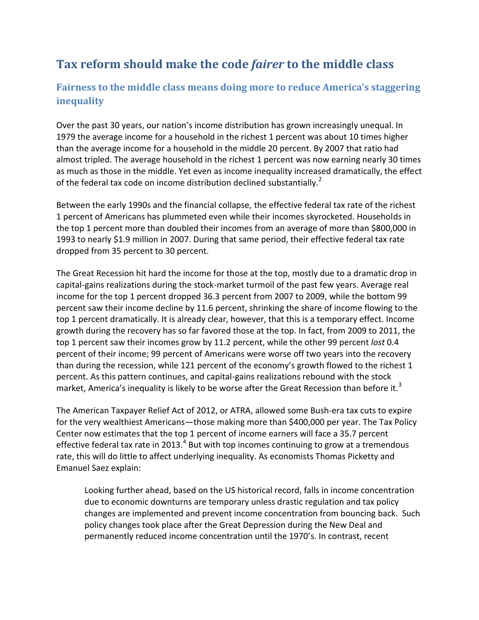## **Tax reform should make the code** *fairer* **to the middle class**

#### **Fairness to the middle class means doing more to reduce America's staggering inequality**

Over the past 30 years, our nation's income distribution has grown increasingly unequal. In 1979 the average income for a household in the richest 1 percent was about 10 times higher than the average income for a household in the middle 20 percent. By 2007 that ratio had almost tripled. The average household in the richest 1 percent was now earning nearly 30 times as much as those in the middle. Yet even as income inequality increased dramatically, the effect of the federal tax code on income distribution declined substantially.<sup>2</sup>

Between the early 1990s and the financial collapse, the effective federal tax rate of the richest 1 percent of Americans has plummeted even while their incomes skyrocketed. Households in the top 1 percent more than doubled their incomes from an average of more than \$800,000 in 1993 to nearly \$1.9 million in 2007. During that same period, their effective federal tax rate dropped from 35 percent to 30 percent.

The Great Recession hit hard the income for those at the top, mostly due to a dramatic drop in capital-gains realizations during the stock-market turmoil of the past few years. Average real income for the top 1 percent dropped 36.3 percent from 2007 to 2009, while the bottom 99 percent saw their income decline by 11.6 percent, shrinking the share of income flowing to the top 1 percent dramatically. It is already clear, however, that this is a temporary effect. Income growth during the recovery has so far favored those at the top. In fact, from 2009 to 2011, the top 1 percent saw their incomes grow by 11.2 percent, while the other 99 percent *lost* 0.4 percent of their income; 99 percent of Americans were worse off two years into the recovery than during the recession, while 121 percent of the economy's growth flowed to the richest 1 percent. As this pattern continues, and capital-gains realizations rebound with the stock market, America's inequality is likely to be worse after the Great Recession than before it.<sup>3</sup>

The American Taxpayer Relief Act of 2012, or ATRA, allowed some Bush-era tax cuts to expire for the very wealthiest Americans—those making more than \$400,000 per year. The Tax Policy Center now estimates that the top 1 percent of income earners will face a 35.7 percent effective federal tax rate in 2013.<sup>4</sup> But with top incomes continuing to grow at a tremendous rate, this will do little to affect underlying inequality. As economists Thomas Picketty and Emanuel Saez explain:

Looking further ahead, based on the US historical record, falls in income concentration due to economic downturns are temporary unless drastic regulation and tax policy changes are implemented and prevent income concentration from bouncing back. Such policy changes took place after the Great Depression during the New Deal and permanently reduced income concentration until the 1970's. In contrast, recent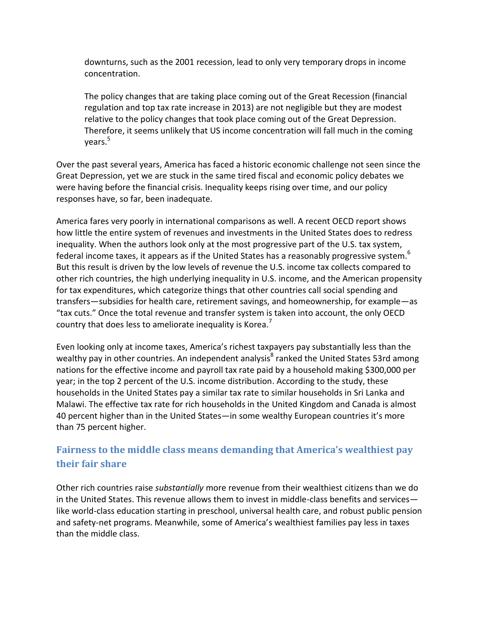downturns, such as the 2001 recession, lead to only very temporary drops in income concentration.

The policy changes that are taking place coming out of the Great Recession (financial regulation and top tax rate increase in 2013) are not negligible but they are modest relative to the policy changes that took place coming out of the Great Depression. Therefore, it seems unlikely that US income concentration will fall much in the coming vears.<sup>5</sup>

Over the past several years, America has faced a historic economic challenge not seen since the Great Depression, yet we are stuck in the same tired fiscal and economic policy debates we were having before the financial crisis. Inequality keeps rising over time, and our policy responses have, so far, been inadequate.

America fares very poorly in international comparisons as well. A recent OECD report shows how little the entire system of revenues and investments in the United States does to redress inequality. When the authors look only at the most progressive part of the U.S. tax system, federal income taxes, it appears as if the United States has a reasonably progressive system.<sup>6</sup> But this result is driven by the low levels of revenue the U.S. income tax collects compared to other rich countries, the high underlying inequality in U.S. income, and the American propensity for tax expenditures, which categorize things that other countries call social spending and transfers—subsidies for health care, retirement savings, and homeownership, for example—as "tax cuts." Once the total revenue and transfer system is taken into account, the only OECD country that does less to ameliorate inequality is Korea.<sup>7</sup>

Even looking only at income taxes, America's richest taxpayers pay substantially less than the wealthy pay in other countries. An independent analysis<sup>8</sup> ranked the United States 53rd among nations for the effective income and payroll tax rate paid by a household making \$300,000 per year; in the top 2 percent of the U.S. income distribution. According to the study, these households in the United States pay a similar tax rate to similar households in Sri Lanka and Malawi. The effective tax rate for rich households in the United Kingdom and Canada is almost 40 percent higher than in the United States—in some wealthy European countries it's more than 75 percent higher.

#### **Fairness to the middle class means demanding that America's wealthiest pay their fair share**

Other rich countries raise *substantially* more revenue from their wealthiest citizens than we do in the United States. This revenue allows them to invest in middle-class benefits and services like world-class education starting in preschool, universal health care, and robust public pension and safety-net programs. Meanwhile, some of America's wealthiest families pay less in taxes than the middle class.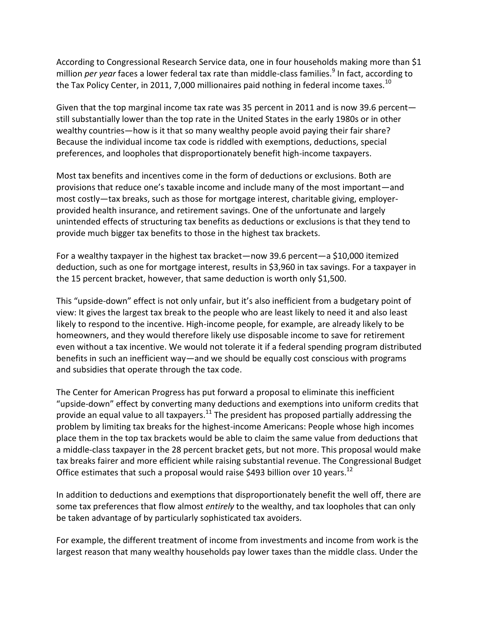According to Congressional Research Service data, one in four households making more than \$1 million *per year* faces a lower federal tax rate than middle-class families.<sup>9</sup> In fact, according to the Tax Policy Center, in 2011, 7,000 millionaires paid nothing in federal income taxes.<sup>10</sup>

Given that the top marginal income tax rate was 35 percent in 2011 and is now 39.6 percent still substantially lower than the top rate in the United States in the early 1980s or in other wealthy countries—how is it that so many wealthy people avoid paying their fair share? Because the individual income tax code is riddled with exemptions, deductions, special preferences, and loopholes that disproportionately benefit high-income taxpayers.

Most tax benefits and incentives come in the form of deductions or exclusions. Both are provisions that reduce one's taxable income and include many of the most important—and most costly—tax breaks, such as those for mortgage interest, charitable giving, employerprovided health insurance, and retirement savings. One of the unfortunate and largely unintended effects of structuring tax benefits as deductions or exclusions is that they tend to provide much bigger tax benefits to those in the highest tax brackets.

For a wealthy taxpayer in the highest tax bracket—now 39.6 percent—a \$10,000 itemized deduction, such as one for mortgage interest, results in \$3,960 in tax savings. For a taxpayer in the 15 percent bracket, however, that same deduction is worth only \$1,500.

This "upside-down" effect is not only unfair, but it's also inefficient from a budgetary point of view: It gives the largest tax break to the people who are least likely to need it and also least likely to respond to the incentive. High-income people, for example, are already likely to be homeowners, and they would therefore likely use disposable income to save for retirement even without a tax incentive. We would not tolerate it if a federal spending program distributed benefits in such an inefficient way—and we should be equally cost conscious with programs and subsidies that operate through the tax code.

The Center for American Progress has put forward a proposal to eliminate this inefficient "upside-down" effect by converting many deductions and exemptions into uniform credits that provide an equal value to all taxpayers.<sup>11</sup> The president has proposed partially addressing the problem by limiting tax breaks for the highest-income Americans: People whose high incomes place them in the top tax brackets would be able to claim the same value from deductions that a middle-class taxpayer in the 28 percent bracket gets, but not more. This proposal would make tax breaks fairer and more efficient while raising substantial revenue. The Congressional Budget Office estimates that such a proposal would raise \$493 billion over 10 years.<sup>12</sup>

In addition to deductions and exemptions that disproportionately benefit the well off, there are some tax preferences that flow almost *entirely* to the wealthy, and tax loopholes that can only be taken advantage of by particularly sophisticated tax avoiders.

For example, the different treatment of income from investments and income from work is the largest reason that many wealthy households pay lower taxes than the middle class. Under the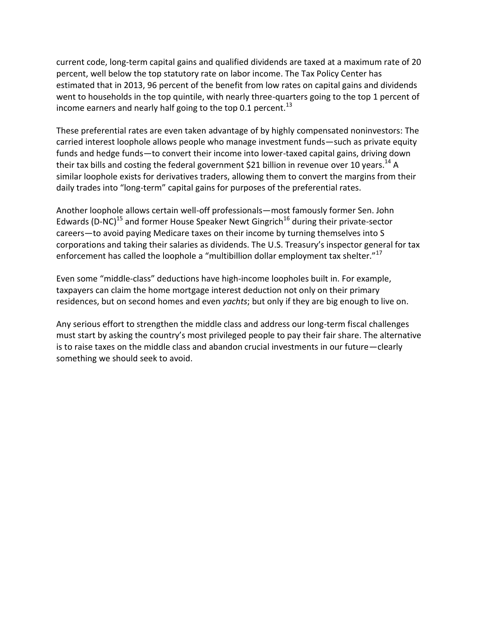current code, long-term capital gains and qualified dividends are taxed at a maximum rate of 20 percent, well below the top statutory rate on labor income. The Tax Policy Center has estimated that in 2013, 96 percent of the benefit from low rates on capital gains and dividends went to households in the top quintile, with nearly three-quarters going to the top 1 percent of income earners and nearly half going to the top 0.1 percent.<sup>13</sup>

These preferential rates are even taken advantage of by highly compensated noninvestors: The carried interest loophole allows people who manage investment funds—such as private equity funds and hedge funds—to convert their income into lower-taxed capital gains, driving down their tax bills and costing the federal government \$21 billion in revenue over 10 years.<sup>14</sup> A similar loophole exists for derivatives traders, allowing them to convert the margins from their daily trades into "long-term" capital gains for purposes of the preferential rates.

Another loophole allows certain well-off professionals—most famously former Sen. John Edwards (D-NC)<sup>15</sup> and former House Speaker Newt Gingrich<sup>16</sup> during their private-sector careers—to avoid paying Medicare taxes on their income by turning themselves into S corporations and taking their salaries as dividends. The U.S. Treasury's inspector general for tax enforcement has called the loophole a "multibillion dollar employment tax shelter." $^{17}$ 

Even some "middle-class" deductions have high-income loopholes built in. For example, taxpayers can claim the home mortgage interest deduction not only on their primary residences, but on second homes and even *yachts*; but only if they are big enough to live on.

Any serious effort to strengthen the middle class and address our long-term fiscal challenges must start by asking the country's most privileged people to pay their fair share. The alternative is to raise taxes on the middle class and abandon crucial investments in our future—clearly something we should seek to avoid.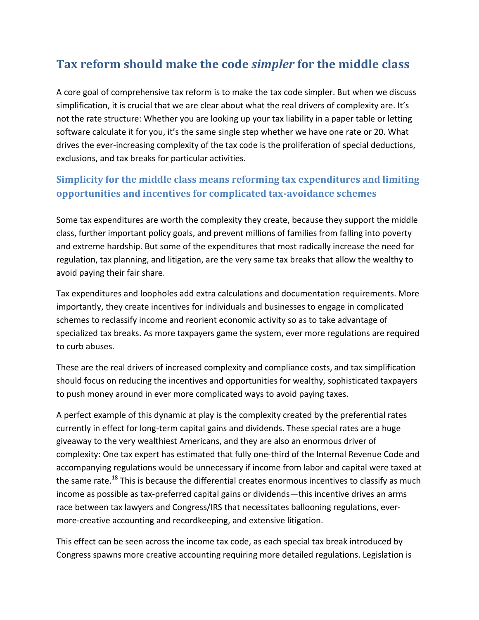## **Tax reform should make the code** *simpler* **for the middle class**

A core goal of comprehensive tax reform is to make the tax code simpler. But when we discuss simplification, it is crucial that we are clear about what the real drivers of complexity are. It's not the rate structure: Whether you are looking up your tax liability in a paper table or letting software calculate it for you, it's the same single step whether we have one rate or 20. What drives the ever-increasing complexity of the tax code is the proliferation of special deductions, exclusions, and tax breaks for particular activities.

### **Simplicity for the middle class means reforming tax expenditures and limiting opportunities and incentives for complicated tax-avoidance schemes**

Some tax expenditures are worth the complexity they create, because they support the middle class, further important policy goals, and prevent millions of families from falling into poverty and extreme hardship. But some of the expenditures that most radically increase the need for regulation, tax planning, and litigation, are the very same tax breaks that allow the wealthy to avoid paying their fair share.

Tax expenditures and loopholes add extra calculations and documentation requirements. More importantly, they create incentives for individuals and businesses to engage in complicated schemes to reclassify income and reorient economic activity so as to take advantage of specialized tax breaks. As more taxpayers game the system, ever more regulations are required to curb abuses.

These are the real drivers of increased complexity and compliance costs, and tax simplification should focus on reducing the incentives and opportunities for wealthy, sophisticated taxpayers to push money around in ever more complicated ways to avoid paying taxes.

A perfect example of this dynamic at play is the complexity created by the preferential rates currently in effect for long-term capital gains and dividends. These special rates are a huge giveaway to the very wealthiest Americans, and they are also an enormous driver of complexity: One tax expert has estimated that fully one-third of the Internal Revenue Code and accompanying regulations would be unnecessary if income from labor and capital were taxed at the same rate.<sup>18</sup> This is because the differential creates enormous incentives to classify as much income as possible as tax-preferred capital gains or dividends—this incentive drives an arms race between tax lawyers and Congress/IRS that necessitates ballooning regulations, evermore-creative accounting and recordkeeping, and extensive litigation.

This effect can be seen across the income tax code, as each special tax break introduced by Congress spawns more creative accounting requiring more detailed regulations. Legislation is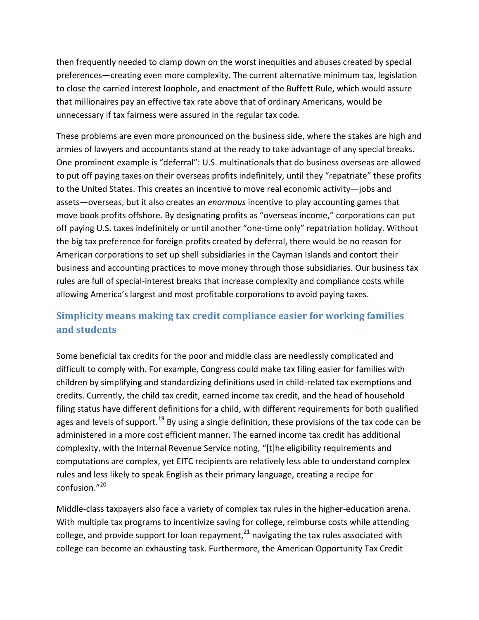then frequently needed to clamp down on the worst inequities and abuses created by special preferences—creating even more complexity. The current alternative minimum tax, legislation to close the carried interest loophole, and enactment of the Buffett Rule, which would assure that millionaires pay an effective tax rate above that of ordinary Americans, would be unnecessary if tax fairness were assured in the regular tax code.

These problems are even more pronounced on the business side, where the stakes are high and armies of lawyers and accountants stand at the ready to take advantage of any special breaks. One prominent example is "deferral": U.S. multinationals that do business overseas are allowed to put off paying taxes on their overseas profits indefinitely, until they "repatriate" these profits to the United States. This creates an incentive to move real economic activity—jobs and assets—overseas, but it also creates an *enormous* incentive to play accounting games that move book profits offshore. By designating profits as "overseas income," corporations can put off paying U.S. taxes indefinitely or until another "one-time only" repatriation holiday. Without the big tax preference for foreign profits created by deferral, there would be no reason for American corporations to set up shell subsidiaries in the Cayman Islands and contort their business and accounting practices to move money through those subsidiaries. Our business tax rules are full of special-interest breaks that increase complexity and compliance costs while allowing America's largest and most profitable corporations to avoid paying taxes.

### **Simplicity means making tax credit compliance easier for working families and students**

Some beneficial tax credits for the poor and middle class are needlessly complicated and difficult to comply with. For example, Congress could make tax filing easier for families with children by simplifying and standardizing definitions used in child-related tax exemptions and credits. Currently, the child tax credit, earned income tax credit, and the head of household filing status have different definitions for a child, with different requirements for both qualified ages and levels of support.<sup>19</sup> By using a single definition, these provisions of the tax code can be administered in a more cost efficient manner. The earned income tax credit has additional complexity, with the Internal Revenue Service noting, "[t]he eligibility requirements and computations are complex, yet EITC recipients are relatively less able to understand complex rules and less likely to speak English as their primary language, creating a recipe for confusion."<sup>20</sup>

Middle-class taxpayers also face a variety of complex tax rules in the higher-education arena. With multiple tax programs to incentivize saving for college, reimburse costs while attending college, and provide support for loan repayment, $^{21}$  navigating the tax rules associated with college can become an exhausting task. Furthermore, the American Opportunity Tax Credit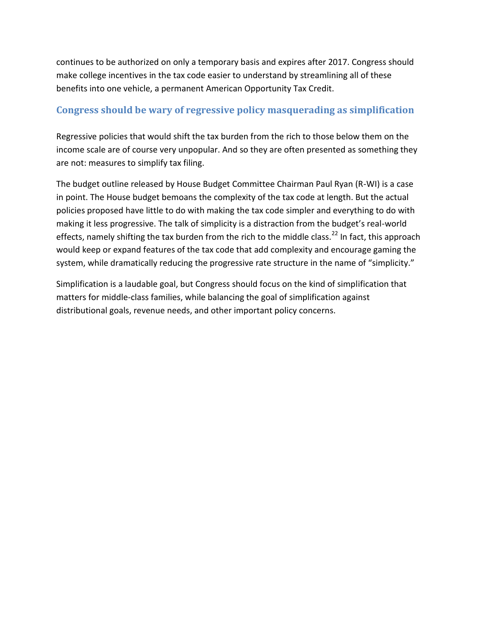continues to be authorized on only a temporary basis and expires after 2017. Congress should make college incentives in the tax code easier to understand by streamlining all of these benefits into one vehicle, a permanent American Opportunity Tax Credit.

#### **Congress should be wary of regressive policy masquerading as simplification**

Regressive policies that would shift the tax burden from the rich to those below them on the income scale are of course very unpopular. And so they are often presented as something they are not: measures to simplify tax filing.

The budget outline released by House Budget Committee Chairman Paul Ryan (R-WI) is a case in point. The House budget bemoans the complexity of the tax code at length. But the actual policies proposed have little to do with making the tax code simpler and everything to do with making it less progressive. The talk of simplicity is a distraction from the budget's real-world effects, namely shifting the tax burden from the rich to the middle class.<sup>22</sup> In fact, this approach would keep or expand features of the tax code that add complexity and encourage gaming the system, while dramatically reducing the progressive rate structure in the name of "simplicity."

Simplification is a laudable goal, but Congress should focus on the kind of simplification that matters for middle-class families, while balancing the goal of simplification against distributional goals, revenue needs, and other important policy concerns.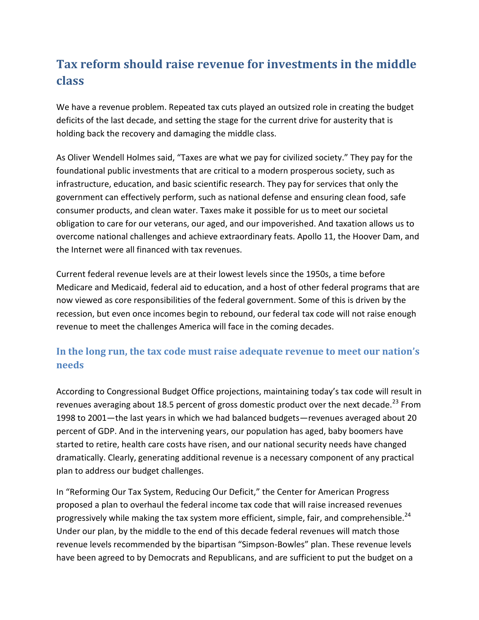# **Tax reform should raise revenue for investments in the middle class**

We have a revenue problem. Repeated tax cuts played an outsized role in creating the budget deficits of the last decade, and setting the stage for the current drive for austerity that is holding back the recovery and damaging the middle class.

As Oliver Wendell Holmes said, "Taxes are what we pay for civilized society." They pay for the foundational public investments that are critical to a modern prosperous society, such as infrastructure, education, and basic scientific research. They pay for services that only the government can effectively perform, such as national defense and ensuring clean food, safe consumer products, and clean water. Taxes make it possible for us to meet our societal obligation to care for our veterans, our aged, and our impoverished. And taxation allows us to overcome national challenges and achieve extraordinary feats. Apollo 11, the Hoover Dam, and the Internet were all financed with tax revenues.

Current federal revenue levels are at their lowest levels since the 1950s, a time before Medicare and Medicaid, federal aid to education, and a host of other federal programs that are now viewed as core responsibilities of the federal government. Some of this is driven by the recession, but even once incomes begin to rebound, our federal tax code will not raise enough revenue to meet the challenges America will face in the coming decades.

#### **In the long run, the tax code must raise adequate revenue to meet our nation's needs**

According to Congressional Budget Office projections, maintaining today's tax code will result in revenues averaging about 18.5 percent of gross domestic product over the next decade.<sup>23</sup> From 1998 to 2001—the last years in which we had balanced budgets—revenues averaged about 20 percent of GDP. And in the intervening years, our population has aged, baby boomers have started to retire, health care costs have risen, and our national security needs have changed dramatically. Clearly, generating additional revenue is a necessary component of any practical plan to address our budget challenges.

In "Reforming Our Tax System, Reducing Our Deficit," the Center for American Progress proposed a plan to overhaul the federal income tax code that will raise increased revenues progressively while making the tax system more efficient, simple, fair, and comprehensible.<sup>24</sup> Under our plan, by the middle to the end of this decade federal revenues will match those revenue levels recommended by the bipartisan "Simpson-Bowles" plan. These revenue levels have been agreed to by Democrats and Republicans, and are sufficient to put the budget on a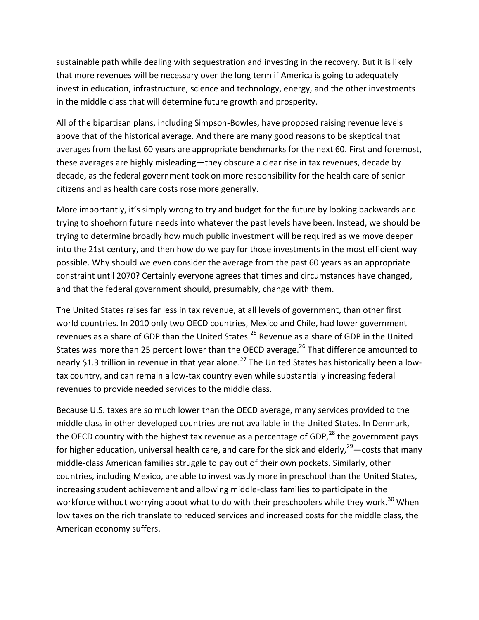sustainable path while dealing with sequestration and investing in the recovery. But it is likely that more revenues will be necessary over the long term if America is going to adequately invest in education, infrastructure, science and technology, energy, and the other investments in the middle class that will determine future growth and prosperity.

All of the bipartisan plans, including Simpson-Bowles, have proposed raising revenue levels above that of the historical average. And there are many good reasons to be skeptical that averages from the last 60 years are appropriate benchmarks for the next 60. First and foremost, these averages are highly misleading—they obscure a clear rise in tax revenues, decade by decade, as the federal government took on more responsibility for the health care of senior citizens and as health care costs rose more generally.

More importantly, it's simply wrong to try and budget for the future by looking backwards and trying to shoehorn future needs into whatever the past levels have been. Instead, we should be trying to determine broadly how much public investment will be required as we move deeper into the 21st century, and then how do we pay for those investments in the most efficient way possible. Why should we even consider the average from the past 60 years as an appropriate constraint until 2070? Certainly everyone agrees that times and circumstances have changed, and that the federal government should, presumably, change with them.

The United States raises far less in tax revenue, at all levels of government, than other first world countries. In 2010 only two OECD countries, Mexico and Chile, had lower government revenues as a share of GDP than the United States.<sup>25</sup> Revenue as a share of GDP in the United States was more than 25 percent lower than the OECD average.<sup>26</sup> That difference amounted to nearly \$1.3 trillion in revenue in that year alone.<sup>27</sup> The United States has historically been a lowtax country, and can remain a low-tax country even while substantially increasing federal revenues to provide needed services to the middle class.

Because U.S. taxes are so much lower than the OECD average, many services provided to the middle class in other developed countries are not available in the United States. In Denmark, the OECD country with the highest tax revenue as a percentage of GDP, $^{28}$  the government pays for higher education, universal health care, and care for the sick and elderly,  $29$  -costs that many middle-class American families struggle to pay out of their own pockets. Similarly, other countries, including Mexico, are able to invest vastly more in preschool than the United States, increasing student achievement and allowing middle-class families to participate in the workforce without worrying about what to do with their preschoolers while they work.<sup>30</sup> When low taxes on the rich translate to reduced services and increased costs for the middle class, the American economy suffers.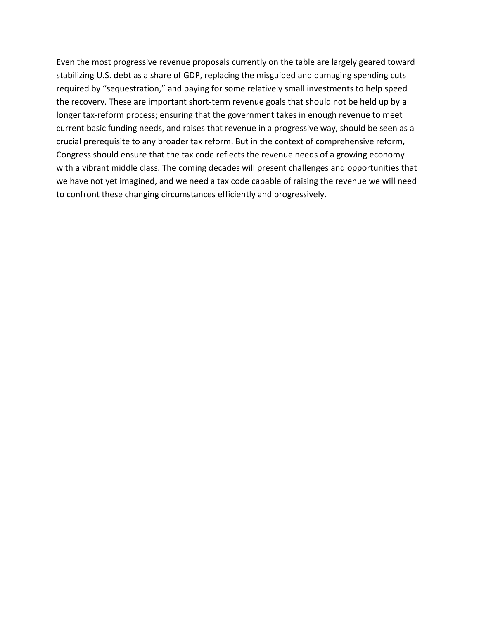Even the most progressive revenue proposals currently on the table are largely geared toward stabilizing U.S. debt as a share of GDP, replacing the misguided and damaging spending cuts required by "sequestration," and paying for some relatively small investments to help speed the recovery. These are important short-term revenue goals that should not be held up by a longer tax-reform process; ensuring that the government takes in enough revenue to meet current basic funding needs, and raises that revenue in a progressive way, should be seen as a crucial prerequisite to any broader tax reform. But in the context of comprehensive reform, Congress should ensure that the tax code reflects the revenue needs of a growing economy with a vibrant middle class. The coming decades will present challenges and opportunities that we have not yet imagined, and we need a tax code capable of raising the revenue we will need to confront these changing circumstances efficiently and progressively.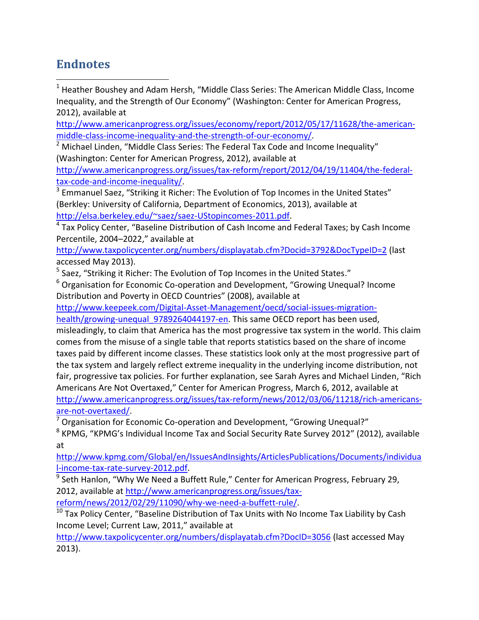## **Endnotes**

 $\overline{\phantom{a}}$ 

 $1$  Heather Boushey and Adam Hersh, "Middle Class Series: The American Middle Class, Income Inequality, and the Strength of Our Economy" (Washington: Center for American Progress, 2012), available at

[http://www.americanprogress.org/issues/economy/report/2012/05/17/11628/the-american](http://www.americanprogress.org/issues/economy/report/2012/05/17/11628/the-american-middle-class-income-inequality-and-the-strength-of-our-economy/)[middle-class-income-inequality-and-the-strength-of-our-economy/.](http://www.americanprogress.org/issues/economy/report/2012/05/17/11628/the-american-middle-class-income-inequality-and-the-strength-of-our-economy/)

 $2$  Michael Linden, "Middle Class Series: The Federal Tax Code and Income Inequality" (Washington: Center for American Progress, 2012), available at

[http://www.americanprogress.org/issues/tax-reform/report/2012/04/19/11404/the-federal](http://www.americanprogress.org/issues/tax-reform/report/2012/04/19/11404/the-federal-tax-code-and-income-inequality/)[tax-code-and-income-inequality/.](http://www.americanprogress.org/issues/tax-reform/report/2012/04/19/11404/the-federal-tax-code-and-income-inequality/)

<sup>3</sup> Emmanuel Saez, "Striking it Richer: The Evolution of Top Incomes in the United States" (Berkley: University of California, Department of Economics, 2013), available at [http://elsa.berkeley.edu/~saez/saez-UStopincomes-2011.pdf.](http://elsa.berkeley.edu/~saez/saez-UStopincomes-2011.pdf)

<sup>4</sup> Tax Policy Center, "Baseline Distribution of Cash Income and Federal Taxes; by Cash Income Percentile, 2004–2022," available at

<http://www.taxpolicycenter.org/numbers/displayatab.cfm?Docid=3792&DocTypeID=2> (last accessed May 2013).

<sup>5</sup> Saez, "Striking it Richer: The Evolution of Top Incomes in the United States."

 $6$  Organisation for Economic Co-operation and Development, "Growing Unequal? Income Distribution and Poverty in OECD Countries" (2008), available at

[http://www.keepeek.com/Digital-Asset-Management/oecd/social-issues-migration-](http://www.keepeek.com/Digital-Asset-Management/oecd/social-issues-migration-health/growing-unequal_9789264044197-en)

health/growing-unequal 9789264044197-en. This same OECD report has been used,

misleadingly, to claim that America has the most progressive tax system in the world. This claim comes from the misuse of a single table that reports statistics based on the share of income taxes paid by different income classes. These statistics look only at the most progressive part of the tax system and largely reflect extreme inequality in the underlying income distribution, not fair, progressive tax policies. For further explanation, see Sarah Ayres and Michael Linden, "Rich Americans Are Not Overtaxed," Center for American Progress, March 6, 2012, available at [http://www.americanprogress.org/issues/tax-reform/news/2012/03/06/11218/rich-americans](http://www.americanprogress.org/issues/tax-reform/news/2012/03/06/11218/rich-americans-are-not-overtaxed/)[are-not-overtaxed/.](http://www.americanprogress.org/issues/tax-reform/news/2012/03/06/11218/rich-americans-are-not-overtaxed/)

 $7$  Organisation for Economic Co-operation and Development, "Growing Unequal?"

<sup>8</sup> KPMG, "KPMG's Individual Income Tax and Social Security Rate Survey 2012" (2012), available at

[http://www.kpmg.com/Global/en/IssuesAndInsights/ArticlesPublications/Documents/individua](http://www.kpmg.com/Global/en/IssuesAndInsights/ArticlesPublications/Documents/individual-income-tax-rate-survey-2012.pdf) [l-income-tax-rate-survey-2012.pdf.](http://www.kpmg.com/Global/en/IssuesAndInsights/ArticlesPublications/Documents/individual-income-tax-rate-survey-2012.pdf)

<sup>9</sup> Seth Hanlon, "Why We Need a Buffett Rule," Center for American Progress, February 29, 2012, available at [http://www.americanprogress.org/issues/tax](http://www.americanprogress.org/issues/tax-reform/news/2012/02/29/11090/why-we-need-a-buffett-rule/)[reform/news/2012/02/29/11090/why-we-need-a-buffett-rule/.](http://www.americanprogress.org/issues/tax-reform/news/2012/02/29/11090/why-we-need-a-buffett-rule/)

 $10$  Tax Policy Center, "Baseline Distribution of Tax Units with No Income Tax Liability by Cash Income Level; Current Law, 2011," available at

<http://www.taxpolicycenter.org/numbers/displayatab.cfm?DocID=3056> (last accessed May 2013).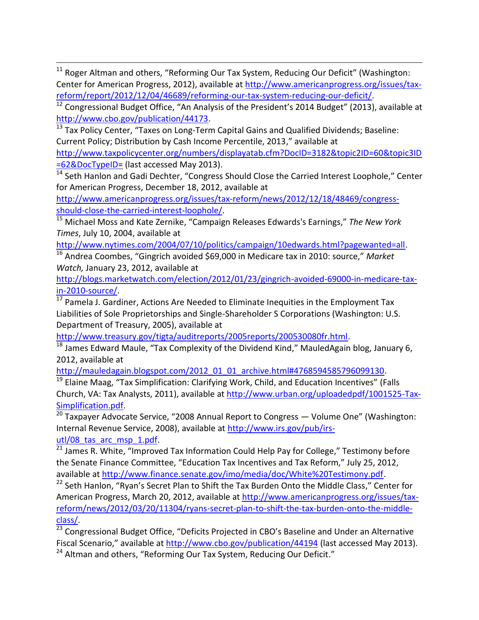$\overline{\phantom{a}}$  $11$  Roger Altman and others, "Reforming Our Tax System, Reducing Our Deficit" (Washington: Center for American Progress, 2012), available at [http://www.americanprogress.org/issues/tax](http://www.americanprogress.org/issues/tax-reform/report/2012/12/04/46689/reforming-our-tax-system-reducing-our-deficit/)[reform/report/2012/12/04/46689/reforming-our-tax-system-reducing-our-deficit/.](http://www.americanprogress.org/issues/tax-reform/report/2012/12/04/46689/reforming-our-tax-system-reducing-our-deficit/)

<sup>12</sup> Congressional Budget Office, "An Analysis of the President's 2014 Budget" (2013), available at [http://www.cbo.gov/publication/44173.](http://www.cbo.gov/publication/44173)

13 Tax Policy Center, "Taxes on Long-Term Capital Gains and Qualified Dividends; Baseline: Current Policy; Distribution by Cash Income Percentile, 2013," available at

[http://www.taxpolicycenter.org/numbers/displayatab.cfm?DocID=3182&topic2ID=60&topic3ID](http://www.taxpolicycenter.org/numbers/displayatab.cfm?DocID=3182&topic2ID=60&topic3ID=62&DocTypeID) [=62&DocTypeID=](http://www.taxpolicycenter.org/numbers/displayatab.cfm?DocID=3182&topic2ID=60&topic3ID=62&DocTypeID) (last accessed May 2013).

<sup>14</sup> Seth Hanlon and Gadi Dechter, "Congress Should Close the Carried Interest Loophole," Center for American Progress, December 18, 2012, available at

[http://www.americanprogress.org/issues/tax-reform/news/2012/12/18/48469/congress](http://www.americanprogress.org/issues/tax-reform/news/2012/12/18/48469/congress-should-close-the-carried-interest-loophole/)[should-close-the-carried-interest-loophole/.](http://www.americanprogress.org/issues/tax-reform/news/2012/12/18/48469/congress-should-close-the-carried-interest-loophole/)

<sup>15</sup> Michael Moss and Kate Zernike, "Campaign Releases Edwards's Earnings," *The New York Times*, July 10, 2004, available at

[http://www.nytimes.com/2004/07/10/politics/campaign/10edwards.html?pagewanted=all.](http://www.nytimes.com/2004/07/10/politics/campaign/10edwards.html?pagewanted=all)

<sup>16</sup> Andrea Coombes, "Gingrich avoided \$69,000 in Medicare tax in 2010: source," *Market Watch,* January 23, 2012, available at

[http://blogs.marketwatch.com/election/2012/01/23/gingrich-avoided-69000-in-medicare-tax](http://blogs.marketwatch.com/election/2012/01/23/gingrich-avoided-69000-in-medicare-tax-in-2010-source/)[in-2010-source/.](http://blogs.marketwatch.com/election/2012/01/23/gingrich-avoided-69000-in-medicare-tax-in-2010-source/)

 $17$  Pamela J. Gardiner, Actions Are Needed to Eliminate Inequities in the Employment Tax Liabilities of Sole Proprietorships and Single-Shareholder S Corporations (Washington: U.S. Department of Treasury, 2005), available at

[http://www.treasury.gov/tigta/auditreports/2005reports/200530080fr.html.](http://www.treasury.gov/tigta/auditreports/2005reports/200530080fr.html)

 $18$  James Edward Maule, "Tax Complexity of the Dividend Kind," MauledAgain blog, January 6, 2012, available at

[http://mauledagain.blogspot.com/2012\\_01\\_01\\_archive.html#4768594585796099130.](http://mauledagain.blogspot.com/2012_01_01_archive.html#4768594585796099130)

<sup>19</sup> Elaine Maag, "Tax Simplification: Clarifying Work, Child, and Education Incentives" (Falls Church, VA: Tax Analysts, 2011), available at [http://www.urban.org/uploadedpdf/1001525-Tax-](http://www.urban.org/uploadedpdf/1001525-Tax-Simplification.pdf)[Simplification.pdf.](http://www.urban.org/uploadedpdf/1001525-Tax-Simplification.pdf)

 $20$  Taxpayer Advocate Service, "2008 Annual Report to Congress  $-$  Volume One" (Washington: Internal Revenue Service, 2008), available at [http://www.irs.gov/pub/irs](http://www.irs.gov/pub/irs-utl/08_tas_arc_msp_1.pdf)utl/08 tas arc msp 1.pdf.

 $21$  James R. White, "Improved Tax Information Could Help Pay for College," Testimony before the Senate Finance Committee, "Education Tax Incentives and Tax Reform," July 25, 2012, available at [http://www.finance.senate.gov/imo/media/doc/White%20Testimony.pdf.](http://www.finance.senate.gov/imo/media/doc/White%20Testimony.pdf)

<sup>22</sup> Seth Hanlon, "Ryan's Secret Plan to Shift the Tax Burden Onto the Middle Class," Center for American Progress, March 20, 2012, available at [http://www.americanprogress.org/issues/tax](http://www.americanprogress.org/issues/tax-reform/news/2012/03/20/11304/ryans-secret-plan-to-shift-the-tax-burden-onto-the-middle-class/)[reform/news/2012/03/20/11304/ryans-secret-plan-to-shift-the-tax-burden-onto-the-middle](http://www.americanprogress.org/issues/tax-reform/news/2012/03/20/11304/ryans-secret-plan-to-shift-the-tax-burden-onto-the-middle-class/)[class/.](http://www.americanprogress.org/issues/tax-reform/news/2012/03/20/11304/ryans-secret-plan-to-shift-the-tax-burden-onto-the-middle-class/)

 $\frac{23}{23}$  Congressional Budget Office, "Deficits Projected in CBO's Baseline and Under an Alternative Fiscal Scenario," available at <http://www.cbo.gov/publication/44194> (last accessed May 2013).

<sup>24</sup> Altman and others, "Reforming Our Tax System, Reducing Our Deficit."